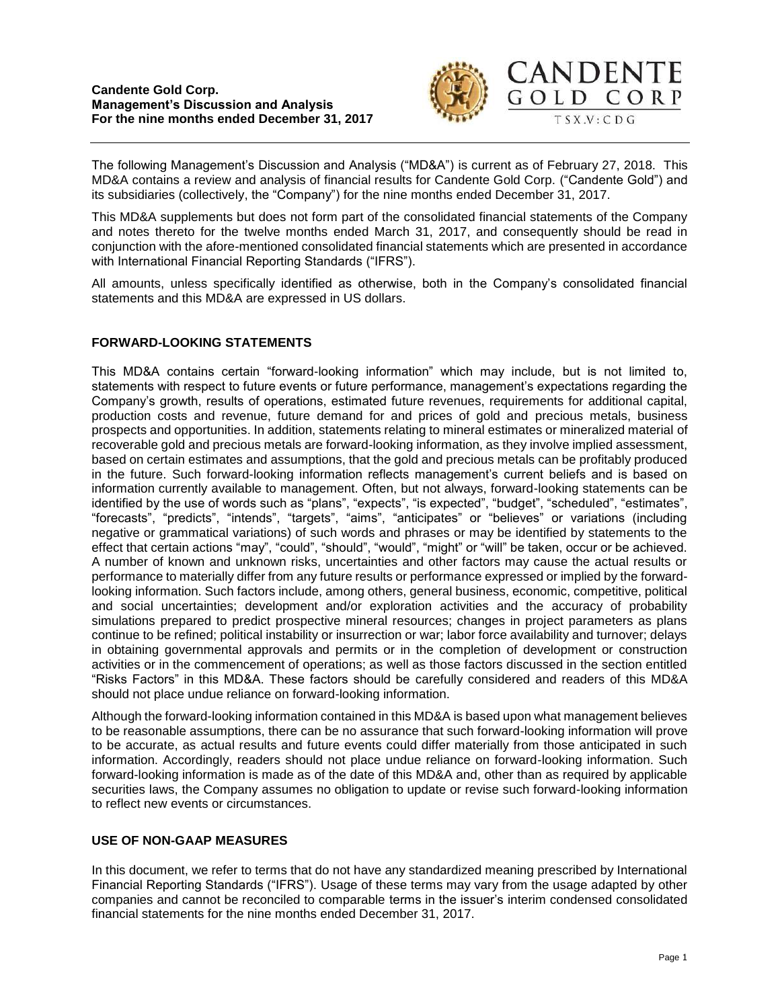

The following Management's Discussion and Analysis ("MD&A") is current as of February 27, 2018. This MD&A contains a review and analysis of financial results for Candente Gold Corp. ("Candente Gold") and its subsidiaries (collectively, the "Company") for the nine months ended December 31, 2017.

This MD&A supplements but does not form part of the consolidated financial statements of the Company and notes thereto for the twelve months ended March 31, 2017, and consequently should be read in conjunction with the afore-mentioned consolidated financial statements which are presented in accordance with International Financial Reporting Standards ("IFRS").

All amounts, unless specifically identified as otherwise, both in the Company's consolidated financial statements and this MD&A are expressed in US dollars.

# **FORWARD-LOOKING STATEMENTS**

This MD&A contains certain "forward-looking information" which may include, but is not limited to, statements with respect to future events or future performance, management's expectations regarding the Company's growth, results of operations, estimated future revenues, requirements for additional capital, production costs and revenue, future demand for and prices of gold and precious metals, business prospects and opportunities. In addition, statements relating to mineral estimates or mineralized material of recoverable gold and precious metals are forward-looking information, as they involve implied assessment, based on certain estimates and assumptions, that the gold and precious metals can be profitably produced in the future. Such forward-looking information reflects management's current beliefs and is based on information currently available to management. Often, but not always, forward-looking statements can be identified by the use of words such as "plans", "expects", "is expected", "budget", "scheduled", "estimates", "forecasts", "predicts", "intends", "targets", "aims", "anticipates" or "believes" or variations (including negative or grammatical variations) of such words and phrases or may be identified by statements to the effect that certain actions "may", "could", "should", "would", "might" or "will" be taken, occur or be achieved. A number of known and unknown risks, uncertainties and other factors may cause the actual results or performance to materially differ from any future results or performance expressed or implied by the forwardlooking information. Such factors include, among others, general business, economic, competitive, political and social uncertainties; development and/or exploration activities and the accuracy of probability simulations prepared to predict prospective mineral resources; changes in project parameters as plans continue to be refined; political instability or insurrection or war; labor force availability and turnover; delays in obtaining governmental approvals and permits or in the completion of development or construction activities or in the commencement of operations; as well as those factors discussed in the section entitled "Risks Factors" in this MD&A. These factors should be carefully considered and readers of this MD&A should not place undue reliance on forward-looking information.

Although the forward-looking information contained in this MD&A is based upon what management believes to be reasonable assumptions, there can be no assurance that such forward-looking information will prove to be accurate, as actual results and future events could differ materially from those anticipated in such information. Accordingly, readers should not place undue reliance on forward-looking information. Such forward-looking information is made as of the date of this MD&A and, other than as required by applicable securities laws, the Company assumes no obligation to update or revise such forward-looking information to reflect new events or circumstances.

# **USE OF NON-GAAP MEASURES**

In this document, we refer to terms that do not have any standardized meaning prescribed by International Financial Reporting Standards ("IFRS"). Usage of these terms may vary from the usage adapted by other companies and cannot be reconciled to comparable terms in the issuer's interim condensed consolidated financial statements for the nine months ended December 31, 2017.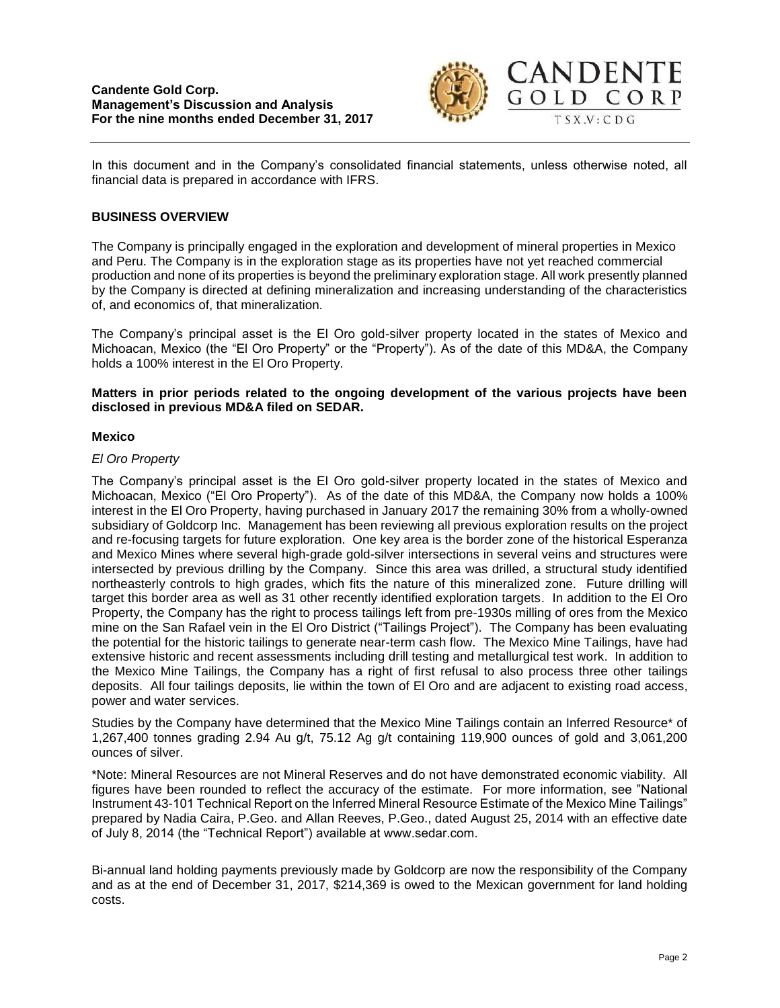

In this document and in the Company's consolidated financial statements, unless otherwise noted, all financial data is prepared in accordance with IFRS.

# **BUSINESS OVERVIEW**

The Company is principally engaged in the exploration and development of mineral properties in Mexico and Peru. The Company is in the exploration stage as its properties have not yet reached commercial production and none of its properties is beyond the preliminary exploration stage. All work presently planned by the Company is directed at defining mineralization and increasing understanding of the characteristics of, and economics of, that mineralization.

The Company's principal asset is the El Oro gold-silver property located in the states of Mexico and Michoacan, Mexico (the "El Oro Property" or the "Property"). As of the date of this MD&A, the Company holds a 100% interest in the El Oro Property.

#### **Matters in prior periods related to the ongoing development of the various projects have been disclosed in previous MD&A filed on SEDAR.**

#### **Mexico**

### *El Oro Property*

The Company's principal asset is the El Oro gold-silver property located in the states of Mexico and Michoacan, Mexico ("El Oro Property"). As of the date of this MD&A, the Company now holds a 100% interest in the El Oro Property, having purchased in January 2017 the remaining 30% from a wholly-owned subsidiary of Goldcorp Inc. Management has been reviewing all previous exploration results on the project and re-focusing targets for future exploration. One key area is the border zone of the historical Esperanza and Mexico Mines where several high-grade gold-silver intersections in several veins and structures were intersected by previous drilling by the Company. Since this area was drilled, a structural study identified northeasterly controls to high grades, which fits the nature of this mineralized zone. Future drilling will target this border area as well as 31 other recently identified exploration targets. In addition to the El Oro Property, the Company has the right to process tailings left from pre-1930s milling of ores from the Mexico mine on the San Rafael vein in the El Oro District ("Tailings Project"). The Company has been evaluating the potential for the historic tailings to generate near-term cash flow. The Mexico Mine Tailings, have had extensive historic and recent assessments including drill testing and metallurgical test work. In addition to the Mexico Mine Tailings, the Company has a right of first refusal to also process three other tailings deposits. All four tailings deposits, lie within the town of El Oro and are adjacent to existing road access, power and water services.

Studies by the Company have determined that the Mexico Mine Tailings contain an Inferred Resource\* of 1,267,400 tonnes grading 2.94 Au g/t, 75.12 Ag g/t containing 119,900 ounces of gold and 3,061,200 ounces of silver.

\*Note: Mineral Resources are not Mineral Reserves and do not have demonstrated economic viability. All figures have been rounded to reflect the accuracy of the estimate. For more information, see "National Instrument 43-101 Technical Report on the Inferred Mineral Resource Estimate of the Mexico Mine Tailings" prepared by Nadia Caira, P.Geo. and Allan Reeves, P.Geo., dated August 25, 2014 with an effective date of July 8, 2014 (the "Technical Report") available at www.sedar.com.

Bi-annual land holding payments previously made by Goldcorp are now the responsibility of the Company and as at the end of December 31, 2017, \$214,369 is owed to the Mexican government for land holding costs.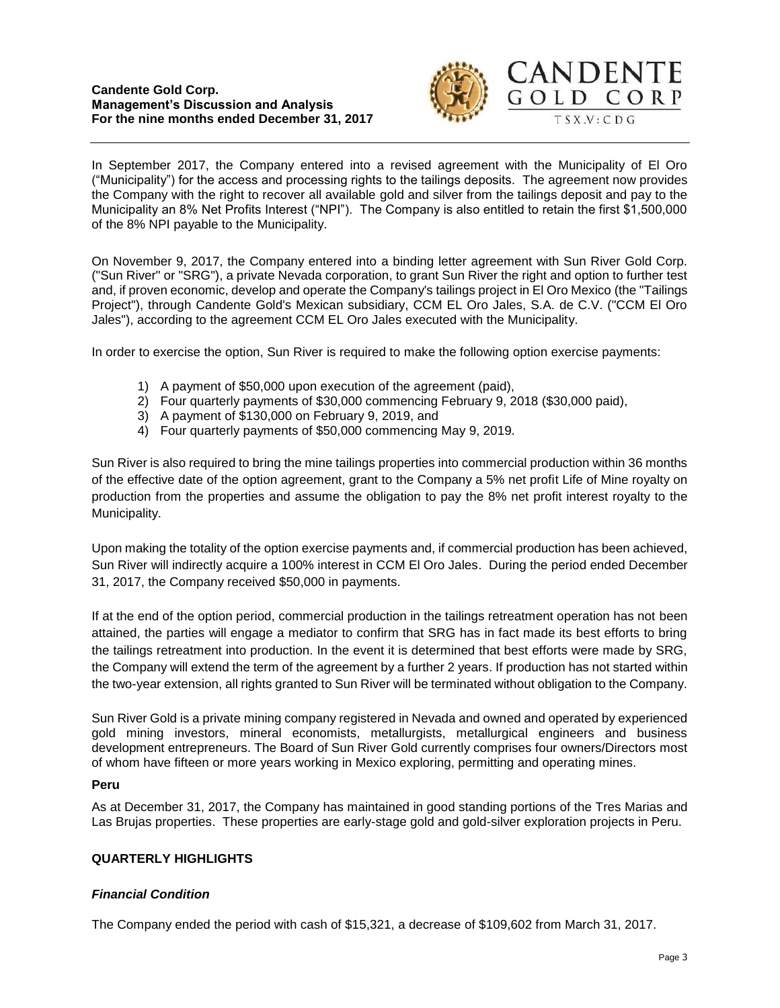#### **Candente Gold Corp. Management's Discussion and Analysis For the nine months ended December 31, 2017**



In September 2017, the Company entered into a revised agreement with the Municipality of El Oro ("Municipality") for the access and processing rights to the tailings deposits. The agreement now provides the Company with the right to recover all available gold and silver from the tailings deposit and pay to the Municipality an 8% Net Profits Interest ("NPI"). The Company is also entitled to retain the first \$1,500,000 of the 8% NPI payable to the Municipality.

On November 9, 2017, the Company entered into a binding letter agreement with Sun River Gold Corp. ("Sun River" or "SRG"), a private Nevada corporation, to grant Sun River the right and option to further test and, if proven economic, develop and operate the Company's tailings project in El Oro Mexico (the "Tailings Project"), through Candente Gold's Mexican subsidiary, CCM EL Oro Jales, S.A. de C.V. ("CCM El Oro Jales"), according to the agreement CCM EL Oro Jales executed with the Municipality.

In order to exercise the option, Sun River is required to make the following option exercise payments:

- 1) A payment of \$50,000 upon execution of the agreement (paid),
- 2) Four quarterly payments of \$30,000 commencing February 9, 2018 (\$30,000 paid),
- 3) A payment of \$130,000 on February 9, 2019, and
- 4) Four quarterly payments of \$50,000 commencing May 9, 2019.

Sun River is also required to bring the mine tailings properties into commercial production within 36 months of the effective date of the option agreement, grant to the Company a 5% net profit Life of Mine royalty on production from the properties and assume the obligation to pay the 8% net profit interest royalty to the Municipality.

Upon making the totality of the option exercise payments and, if commercial production has been achieved, Sun River will indirectly acquire a 100% interest in CCM El Oro Jales. During the period ended December 31, 2017, the Company received \$50,000 in payments.

If at the end of the option period, commercial production in the tailings retreatment operation has not been attained, the parties will engage a mediator to confirm that SRG has in fact made its best efforts to bring the tailings retreatment into production. In the event it is determined that best efforts were made by SRG, the Company will extend the term of the agreement by a further 2 years. If production has not started within the two-year extension, all rights granted to Sun River will be terminated without obligation to the Company.

Sun River Gold is a private mining company registered in Nevada and owned and operated by experienced gold mining investors, mineral economists, metallurgists, metallurgical engineers and business development entrepreneurs. The Board of Sun River Gold currently comprises four owners/Directors most of whom have fifteen or more years working in Mexico exploring, permitting and operating mines.

# **Peru**

As at December 31, 2017, the Company has maintained in good standing portions of the Tres Marias and Las Brujas properties. These properties are early-stage gold and gold-silver exploration projects in Peru.

# **QUARTERLY HIGHLIGHTS**

# *Financial Condition*

The Company ended the period with cash of \$15,321, a decrease of \$109,602 from March 31, 2017.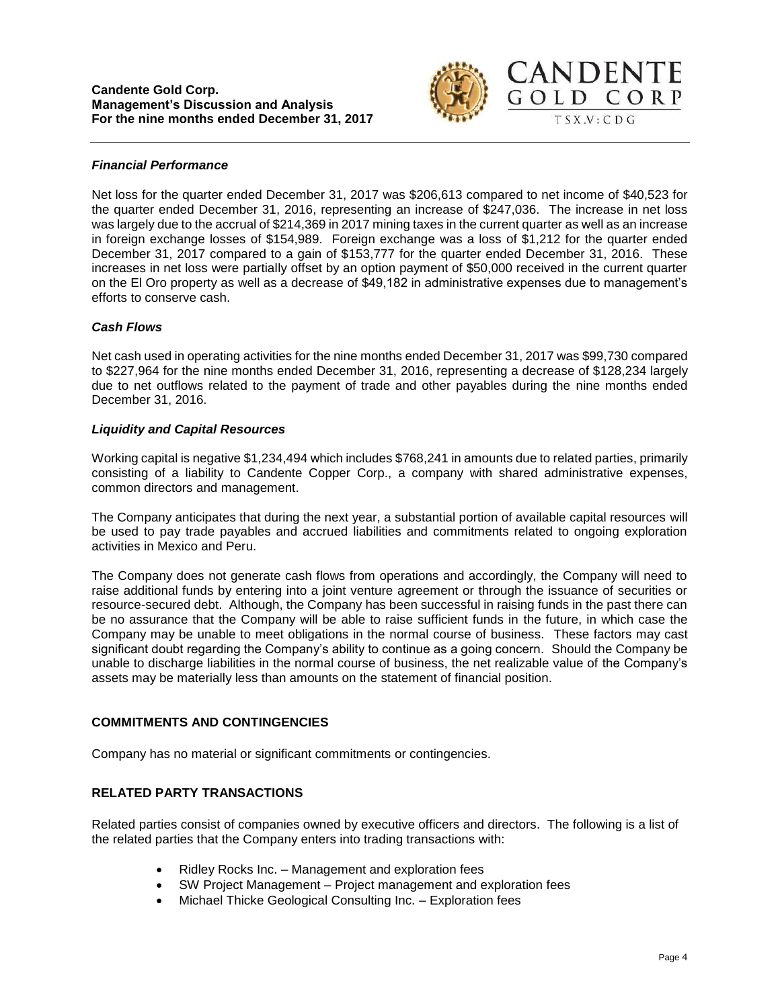

### *Financial Performance*

Net loss for the quarter ended December 31, 2017 was \$206,613 compared to net income of \$40,523 for the quarter ended December 31, 2016, representing an increase of \$247,036. The increase in net loss was largely due to the accrual of \$214,369 in 2017 mining taxes in the current quarter as well as an increase in foreign exchange losses of \$154,989. Foreign exchange was a loss of \$1,212 for the quarter ended December 31, 2017 compared to a gain of \$153,777 for the quarter ended December 31, 2016. These increases in net loss were partially offset by an option payment of \$50,000 received in the current quarter on the El Oro property as well as a decrease of \$49,182 in administrative expenses due to management's efforts to conserve cash.

#### *Cash Flows*

Net cash used in operating activities for the nine months ended December 31, 2017 was \$99,730 compared to \$227,964 for the nine months ended December 31, 2016, representing a decrease of \$128,234 largely due to net outflows related to the payment of trade and other payables during the nine months ended December 31, 2016.

#### *Liquidity and Capital Resources*

Working capital is negative \$1,234,494 which includes \$768,241 in amounts due to related parties, primarily consisting of a liability to Candente Copper Corp., a company with shared administrative expenses, common directors and management.

The Company anticipates that during the next year, a substantial portion of available capital resources will be used to pay trade payables and accrued liabilities and commitments related to ongoing exploration activities in Mexico and Peru.

The Company does not generate cash flows from operations and accordingly, the Company will need to raise additional funds by entering into a joint venture agreement or through the issuance of securities or resource-secured debt. Although, the Company has been successful in raising funds in the past there can be no assurance that the Company will be able to raise sufficient funds in the future, in which case the Company may be unable to meet obligations in the normal course of business. These factors may cast significant doubt regarding the Company's ability to continue as a going concern. Should the Company be unable to discharge liabilities in the normal course of business, the net realizable value of the Company's assets may be materially less than amounts on the statement of financial position.

# **COMMITMENTS AND CONTINGENCIES**

Company has no material or significant commitments or contingencies.

# **RELATED PARTY TRANSACTIONS**

Related parties consist of companies owned by executive officers and directors. The following is a list of the related parties that the Company enters into trading transactions with:

- Ridley Rocks Inc. Management and exploration fees
- SW Project Management Project management and exploration fees
- Michael Thicke Geological Consulting Inc. Exploration fees